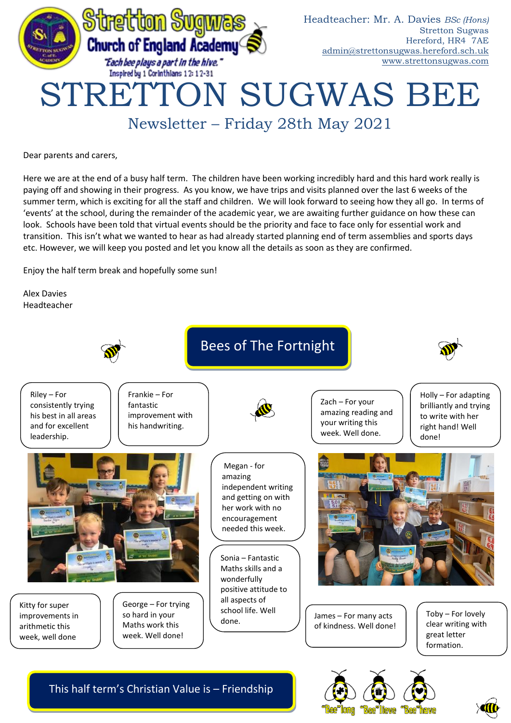

Newsletter – Friday 28th May 2021

Dear parents and carers,

Here we are at the end of a busy half term. The children have been working incredibly hard and this hard work really is paying off and showing in their progress. As you know, we have trips and visits planned over the last 6 weeks of the summer term, which is exciting for all the staff and children. We will look forward to seeing how they all go. In terms of 'events' at the school, during the remainder of the academic year, we are awaiting further guidance on how these can look. Schools have been told that virtual events should be the priority and face to face only for essential work and transition. This isn't what we wanted to hear as had already started planning end of term assemblies and sports days etc. However, we will keep you posted and let you know all the details as soon as they are confirmed.

Enjoy the half term break and hopefully some sun!

Alex Davies Headteacher



This half term's Christian Value is – Friendship